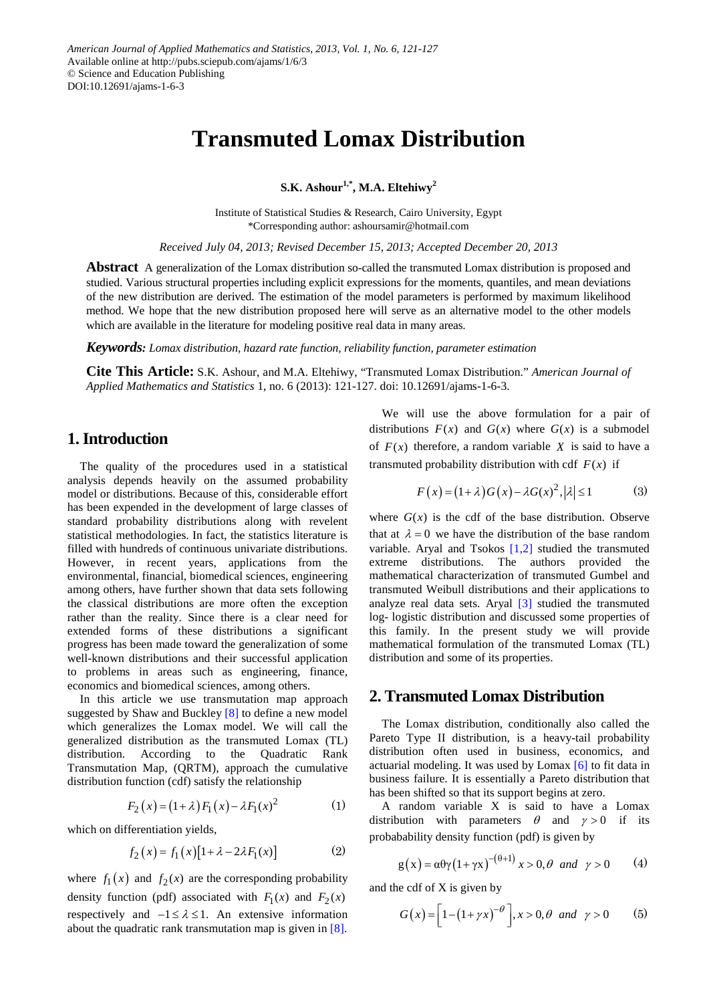# **Transmuted Lomax Distribution**

**S.K. Ashour1,\*, M.A. Eltehiwy<sup>2</sup>**

Institute of Statistical Studies & Research, Cairo University, Egypt \*Corresponding author: ashoursamir@hotmail.com

*Received July 04, 2013; Revised December 15, 2013; Accepted December 20, 2013*

**Abstract** A generalization of the Lomax distribution so-called the transmuted Lomax distribution is proposed and studied. Various structural properties including explicit expressions for the moments, quantiles, and mean deviations of the new distribution are derived. The estimation of the model parameters is performed by maximum likelihood method. We hope that the new distribution proposed here will serve as an alternative model to the other models which are available in the literature for modeling positive real data in many areas.

*Keywords: Lomax distribution, hazard rate function, reliability function, parameter estimation*

**Cite This Article:** S.K. Ashour, and M.A. Eltehiwy, "Transmuted Lomax Distribution." *American Journal of Applied Mathematics and Statistics* 1, no. 6 (2013): 121-127. doi: 10.12691/ajams-1-6-3.

### **1. Introduction**

The quality of the procedures used in a statistical analysis depends heavily on the assumed probability model or distributions. Because of this, considerable effort has been expended in the development of large classes of standard probability distributions along with revelent statistical methodologies. In fact, the statistics literature is filled with hundreds of continuous univariate distributions. However, in recent years, applications from the environmental, financial, biomedical sciences, engineering among others, have further shown that data sets following the classical distributions are more often the exception rather than the reality. Since there is a clear need for extended forms of these distributions a significant progress has been made toward the generalization of some well-known distributions and their successful application to problems in areas such as engineering, finance, economics and biomedical sciences, among others.

In this article we use transmutation map approach suggested by Shaw and Buckley [\[8\]](#page-6-0) to define a new model which generalizes the Lomax model. We will call the generalized distribution as the transmuted Lomax (TL) distribution. According to the Quadratic Rank Transmutation Map, (QRTM), approach the cumulative distribution function (cdf) satisfy the relationship

$$
F_2(x) = (1 + \lambda) F_1(x) - \lambda F_1(x)^2 \tag{1}
$$

which on differentiation yields,

$$
f_2(x) = f_1(x)[1 + \lambda - 2\lambda F_1(x)] \tag{2}
$$

where  $f_1(x)$  and  $f_2(x)$  are the corresponding probability density function (pdf) associated with  $F_1(x)$  and  $F_2(x)$ respectively and  $-1 \le \lambda \le 1$ . An extensive information about the quadratic rank transmutation map is given in [\[8\].](#page-6-0)

We will use the above formulation for a pair of distributions  $F(x)$  and  $G(x)$  where  $G(x)$  is a submodel of  $F(x)$  therefore, a random variable X is said to have a transmuted probability distribution with cdf  $F(x)$  if

$$
F(x) = (1 + \lambda)G(x) - \lambda G(x)^{2}, |\lambda| \le 1
$$
 (3)

where  $G(x)$  is the cdf of the base distribution. Observe that at  $\lambda = 0$  we have the distribution of the base random variable. Aryal and Tsokos [\[1,2\]](#page-6-1) studied the transmuted extreme distributions. The authors provided the mathematical characterization of transmuted Gumbel and transmuted Weibull distributions and their applications to analyze real data sets. Aryal [\[3\]](#page-6-2) studied the transmuted log- logistic distribution and discussed some properties of this family. In the present study we will provide mathematical formulation of the transmuted Lomax (TL) distribution and some of its properties.

### **2. Transmuted Lomax Distribution**

The Lomax distribution, conditionally also called the Pareto Type II distribution, is a heavy-tail probability distribution often used in business, economics, and actuarial modeling. It was used by Lomax [\[6\]](#page-6-3) to fit data in business failure. It is essentially a Pareto distribution that has been shifted so that its support begins at zero.

A random variable X is said to have a Lomax distribution with parameters  $\theta$  and  $\gamma > 0$  if its probabability density function (pdf) is given by

$$
g(x) = \alpha \theta \gamma (1 + \gamma x)^{-(\theta + 1)} x > 0, \theta \text{ and } \gamma > 0 \qquad (4)
$$

and the cdf of X is given by

$$
G(x) = \left[1 - \left(1 + \gamma x\right)^{-\theta}\right], x > 0, \theta \text{ and } \gamma > 0 \tag{5}
$$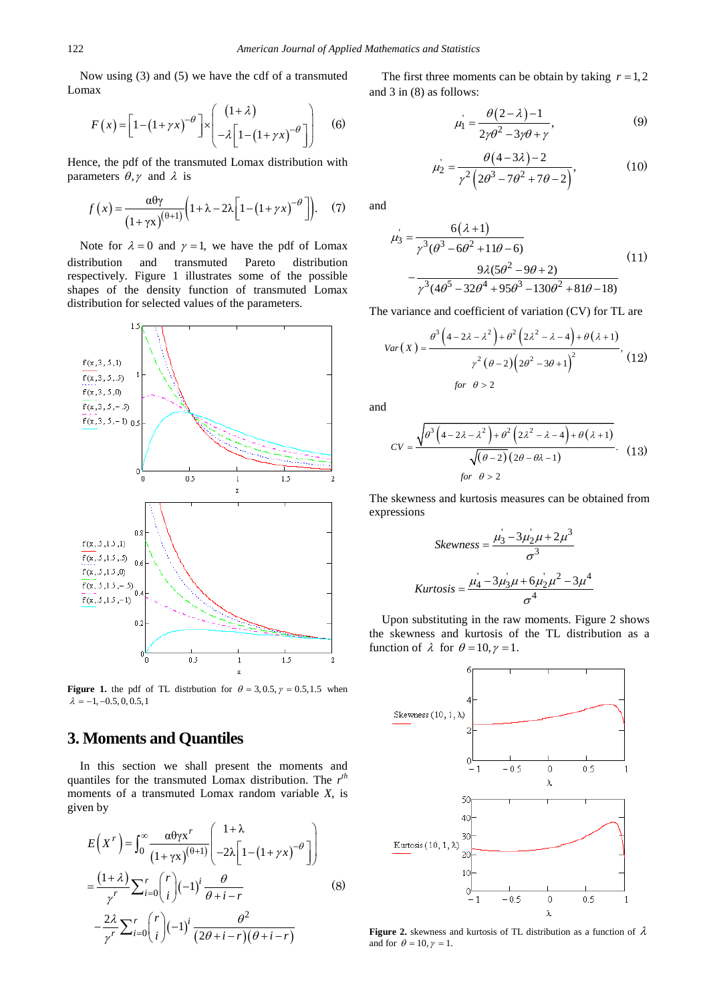Now using (3) and (5) we have the cdf of a transmuted Lomax

$$
F(x) = \left[1 - \left(1 + \gamma x\right)^{-\theta}\right] \times \left[\begin{array}{c} \left(1 + \lambda\right) \\ -\lambda \left[1 - \left(1 + \gamma x\right)^{-\theta}\right] \end{array}\right] \tag{6}
$$

Hence, the pdf of the transmuted Lomax distribution with parameters  $\theta$ ,  $\gamma$  and  $\lambda$  is

$$
f(x) = \frac{\alpha \theta \gamma}{\left(1 + \gamma x\right)^{\left(\theta + 1\right)}} \left(1 + \lambda - 2\lambda \left[1 - \left(1 + \gamma x\right)^{-\theta}\right]\right). \tag{7}
$$

Note for  $\lambda = 0$  and  $\gamma = 1$ , we have the pdf of Lomax distribution and transmuted Pareto distribution respectively. Figure 1 illustrates some of the possible shapes of the density function of transmuted Lomax distribution for selected values of the parameters.



**Figure 1.** the pdf of TL distrbution for  $\theta = 3, 0.5, \gamma = 0.5, 1.5$  when  $\lambda = -1, -0.5, 0, 0.5, 1$ 

# **3. Moments and Quantiles**

In this section we shall present the moments and quantiles for the transmuted Lomax distribution. The *r th* moments of a transmuted Lomax random variable *X*, is given by

$$
E(Xr) = \int_0^\infty \frac{\alpha \theta \gamma x^r}{(1 + \gamma x)^{(\theta + 1)}} \left( \frac{1 + \lambda}{-2\lambda \left[ 1 - (1 + \gamma x)^{-\theta} \right]} \right)
$$
  
=  $\frac{(1 + \lambda)}{\gamma^r} \sum_{i=0}^r \binom{r}{i} (-1)^i \frac{\theta}{\theta + i - r}$  (8)  
 $-\frac{2\lambda}{\gamma^r} \sum_{i=0}^r \binom{r}{i} (-1)^i \frac{\theta^2}{(2\theta + i - r)(\theta + i - r)}$ 

The first three moments can be obtain by taking  $r = 1, 2$ and 3 in (8) as follows:

$$
\mu_1 = \frac{\theta(2-\lambda)-1}{2\gamma\theta^2 - 3\gamma\theta + \gamma},\tag{9}
$$

$$
\mu_2 = \frac{\theta(4-3\lambda)-2}{\gamma^2(2\theta^3 - 7\theta^2 + 7\theta - 2)},
$$
\n(10)

and

$$
\mu_3' = \frac{6(\lambda + 1)}{\gamma^3(\theta^3 - 6\theta^2 + 11\theta - 6)}
$$
\n
$$
-\frac{9\lambda(5\theta^2 - 9\theta + 2)}{\gamma^3(4\theta^5 - 32\theta^4 + 95\theta^3 - 130\theta^2 + 81\theta - 18)}
$$
\n(11)

The variance and coefficient of variation (CV) for TL are

$$
Var(X) = \frac{\theta^3(4 - 2\lambda - \lambda^2) + \theta^2(2\lambda^2 - \lambda - 4) + \theta(\lambda + 1)}{\gamma^2(\theta - 2)(2\theta^2 - 3\theta + 1)^2},
$$
(12)  
for  $\theta > 2$ 

and

$$
CV = \frac{\sqrt{\theta^3 \left(4 - 2\lambda - \lambda^2\right) + \theta^2 \left(2\lambda^2 - \lambda - 4\right) + \theta \left(\lambda + 1\right)}}{\sqrt{(\theta - 2)} \left(2\theta - \theta \lambda - 1\right)} \tag{13}
$$
\n
$$
\text{for } \theta > 2
$$

The skewness and kurtosis measures can be obtained from expressions

$$
Skewness = \frac{\mu_3 - 3\mu_2\mu + 2\mu^3}{\sigma^3}
$$

$$
Kurtosis = \frac{\mu_4 - 3\mu_3\mu + 6\mu_2\mu^2 - 3\mu^4}{\sigma^4}
$$

Upon substituting in the raw moments. Figure 2 shows the skewness and kurtosis of the TL distribution as a function of  $\lambda$  for  $\theta = 10, \gamma = 1$ .



**Figure 2.** skewness and kurtosis of TL distribution as a function of  $\lambda$ and for  $\theta = 10, \gamma = 1$ .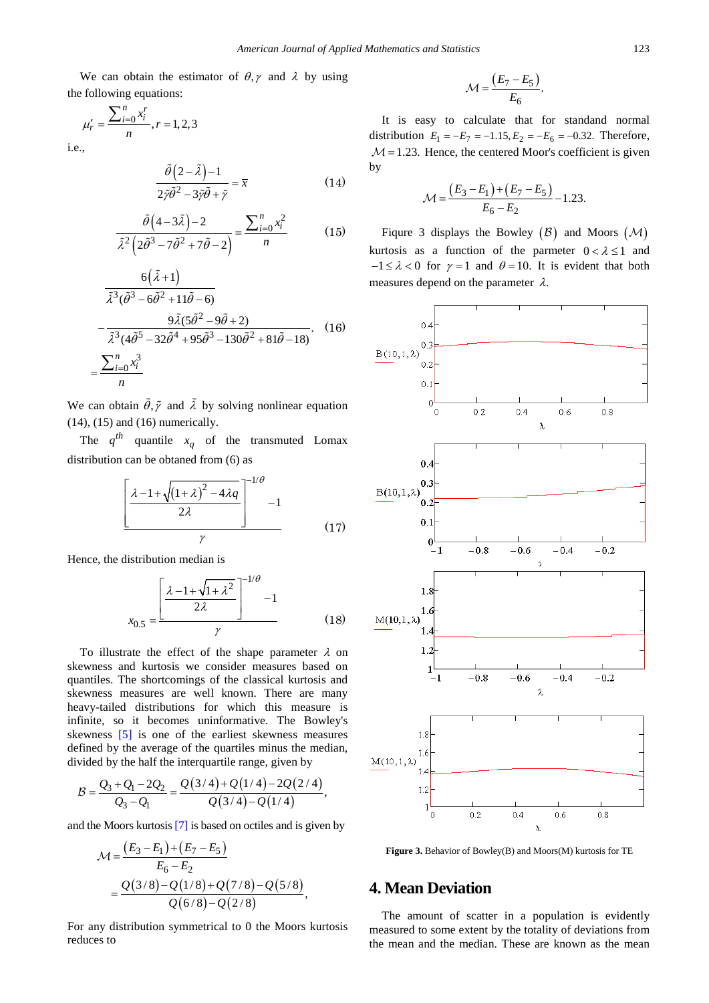We can obtain the estimator of  $\theta$ ,  $\gamma$  and  $\lambda$  by using the following equations:

$$
\mu'_{r} = \frac{\sum_{i=0}^{n} x_{i}^{r}}{n}, r = 1, 2, 3
$$

i.e.,

$$
\frac{\tilde{\theta}(2-\tilde{\lambda})-1}{2\tilde{\gamma}\tilde{\theta}^2 - 3\tilde{\gamma}\tilde{\theta} + \tilde{\gamma}} = \overline{x}
$$
\n(14)

$$
\frac{\tilde{\theta}\left(4-3\tilde{\lambda}\right)-2}{\tilde{\lambda}^2\left(2\tilde{\theta}^3-7\tilde{\theta}^2+7\tilde{\theta}-2\right)}=\frac{\sum_{i=0}^n x_i^2}{n}\tag{15}
$$

$$
\frac{6(\tilde{\lambda}+1)}{\tilde{\lambda}^3(\tilde{\theta}^3 - 6\tilde{\theta}^2 + 11\tilde{\theta} - 6)}
$$
  

$$
-\frac{9\tilde{\lambda}(5\tilde{\theta}^2 - 9\tilde{\theta} + 2)}{\tilde{\lambda}^3(4\tilde{\theta}^5 - 32\tilde{\theta}^4 + 95\tilde{\theta}^3 - 130\tilde{\theta}^2 + 81\tilde{\theta} - 18)}.
$$
 (16)  

$$
=\frac{\sum_{i=0}^n x_i^3}{n}
$$

We can obtain  $\tilde{\theta}$ ,  $\tilde{\gamma}$  and  $\tilde{\lambda}$  by solving nonlinear equation (14), (15) and (16) numerically.

The  $q^{th}$  quantile  $x_q$  of the transmuted Lomax distribution can be obtaned from (6) as

$$
\left[\frac{\lambda - 1 + \sqrt{\left(1 + \lambda\right)^2 - 4\lambda q}}{2\lambda}\right]^{-1/\theta} - 1
$$
\n
$$
y \tag{17}
$$

Hence, the distribution median is

$$
x_{0.5} = \frac{\left[\frac{\lambda - 1 + \sqrt{1 + \lambda^2}}{2\lambda}\right]^{-1/\theta} - 1}{\gamma}
$$
(18)

To illustrate the effect of the shape parameter  $\lambda$  on skewness and kurtosis we consider measures based on quantiles. The shortcomings of the classical kurtosis and skewness measures are well known. There are many heavy-tailed distributions for which this measure is infinite, so it becomes uninformative. The Bowley's skewness [\[5\]](#page-6-4) is one of the earliest skewness measures defined by the average of the quartiles minus the median, divided by the half the interquartile range, given by

$$
B=\frac{Q_3+Q_1-2Q_2}{Q_3-Q_1}=\frac{Q(3/4)+Q(1/4)-2Q(2/4)}{Q(3/4)-Q(1/4)},
$$

and the Moors kurtosis [\[7\]](#page-6-5) is based on octiles and is given by

$$
\mathcal{M} = \frac{(E_3 - E_1) + (E_7 - E_5)}{E_6 - E_2}
$$
  
= 
$$
\frac{Q(3/8) - Q(1/8) + Q(7/8) - Q(5/8)}{Q(6/8) - Q(2/8)},
$$

For any distribution symmetrical to 0 the Moors kurtosis reduces to

$$
\mathcal{M} = \frac{(E_7 - E_5)}{E_6}.
$$

It is easy to calculate that for standand normal distribution  $E_1 = -E_7 = -1.15, E_2 = -E_6 = -0.32$ . Therefore,  $M = 1.23$ . Hence, the centered Moor's coefficient is given by

$$
\mathcal{M} = \frac{(E_3 - E_1) + (E_7 - E_5)}{E_6 - E_2} - 1.23.
$$

Figure 3 displays the Bowley  $(\beta)$  and Moors  $(\mathcal{M})$ kurtosis as a function of the parmeter  $0 < \lambda \le 1$  and  $-1 \le \lambda < 0$  for  $\gamma = 1$  and  $\theta = 10$ . It is evident that both measures depend on the parameter  $\lambda$ .



**Figure 3.** Behavior of Bowley(B) and Moors(M) kurtosis for TE

## **4. Mean Deviation**

The amount of scatter in a population is evidently measured to some extent by the totality of deviations from the mean and the median. These are known as the mean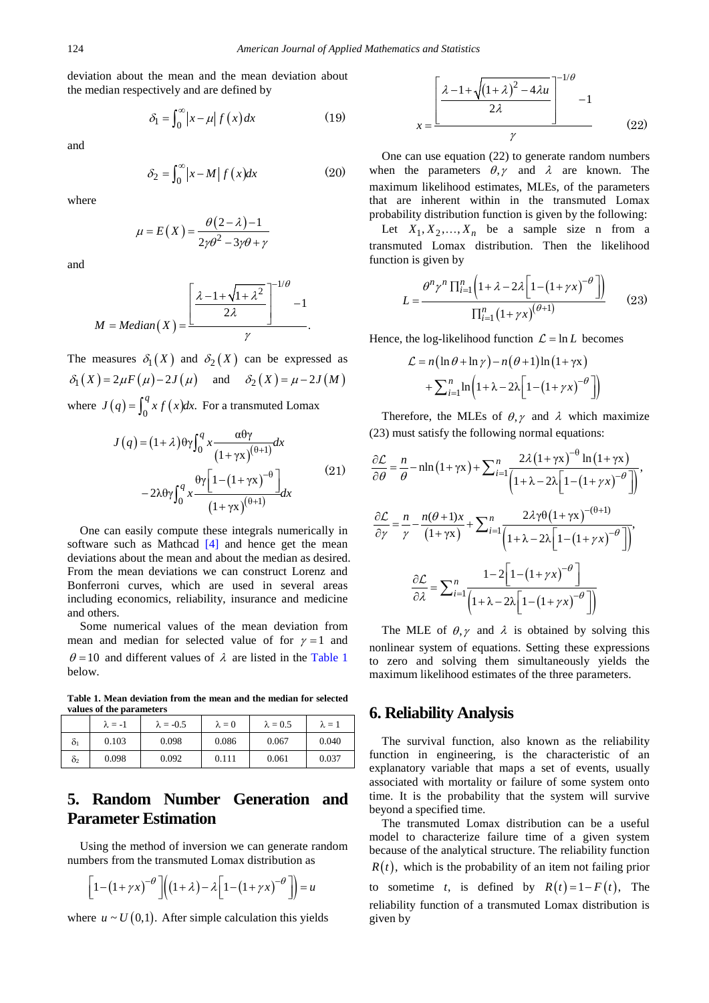deviation about the mean and the mean deviation about the median respectively and are defined by

$$
\delta_1 = \int_0^\infty \left| x - \mu \right| f(x) dx \tag{19}
$$

and

$$
\delta_2 = \int_0^\infty \left| x - M \right| f(x) dx \tag{20}
$$

where

$$
\mu = E(X) = \frac{\theta(2 - \lambda) - 1}{2\gamma\theta^2 - 3\gamma\theta + \gamma}
$$

and

$$
M = Median(X) = \frac{\left[\frac{\lambda - 1 + \sqrt{1 + \lambda^2}}{2\lambda}\right]^{-1/\theta} - 1}{\gamma}.
$$

The measures  $\delta_1(X)$  and  $\delta_2(X)$  can be expressed as  $\delta_1(X) = 2\mu F(\mu) - 2J(\mu)$  and  $\delta_2(X) = \mu - 2J(M)$ where  $J(q) = \int_0^q x f(x) dx$ . For a transmuted Lomax

$$
J(q) = (1+\lambda)\theta\gamma \int_0^q x \frac{\alpha\theta\gamma}{(1+\gamma x)^{(\theta+1)}} dx
$$
  

$$
-2\lambda\theta\gamma \int_0^q x \frac{\theta\gamma [1-(1+\gamma x)^{-\theta}]}{(1+\gamma x)^{(\theta+1)}} dx
$$
 (21)

One can easily compute these integrals numerically in software such as Mathcad [\[4\]](#page-6-6) and hence get the mean deviations about the mean and about the median as desired. From the mean deviations we can construct Lorenz and Bonferroni curves, which are used in several areas including economics, reliability, insurance and medicine and others.

Some numerical values of the mean deviation from mean and median for selected value of for  $\gamma = 1$  and  $\theta$  = 10 and different values of  $\lambda$  are listed in the [Table 1](#page-3-0) below.

**Table 1. Mean deviation from the mean and the median for selected values of the parameters**

<span id="page-3-0"></span>

|                | $\lambda = -1$ | $\lambda = -0.5$ | $\lambda = 0$ | $\lambda = 0.5$ | $\lambda = 1$ |
|----------------|----------------|------------------|---------------|-----------------|---------------|
| 01             | 0.103          | 0.098            | 0.086         | 0.067           | 0.040         |
| O <sub>2</sub> | 0.098          | 0.092            | 0.111         | 0.061           | 0.037         |

# **5. Random Number Generation and Parameter Estimation**

Using the method of inversion we can generate random numbers from the transmuted Lomax distribution as

$$
\[1 - (1 + \gamma x)^{-\theta}\left[ \left(1 + \lambda\right) - \lambda \left[1 - (1 + \gamma x)^{-\theta}\right]\right] = u
$$

where  $u \sim U(0,1)$ . After simple calculation this yields

$$
x = \frac{\left[\frac{\lambda - 1 + \sqrt{\left(1 + \lambda\right)^2 - 4\lambda u}}{2\lambda}\right]^{-1/\theta}}{\gamma}
$$
(22)

One can use equation (22) to generate random numbers when the parameters  $\theta$ ,  $\gamma$  and  $\lambda$  are known. The maximum likelihood estimates, MLEs, of the parameters that are inherent within in the transmuted Lomax probability distribution function is given by the following:

Let  $X_1, X_2, ..., X_n$  be a sample size n from a transmuted Lomax distribution. Then the likelihood function is given by

$$
L = \frac{\theta^n \gamma^n \prod_{i=1}^n \left(1 + \lambda - 2\lambda \left[1 - \left(1 + \gamma x\right)^{-\theta}\right]\right)}{\prod_{i=1}^n \left(1 + \gamma x\right)^{(\theta + 1)}}\tag{23}
$$

Hence, the log-likelihood function  $\mathcal{L} = \ln L$  becomes

$$
\mathcal{L} = n \left( \ln \theta + \ln \gamma \right) - n \left( \theta + 1 \right) \ln \left( 1 + \gamma \mathbf{x} \right) + \sum_{i=1}^{n} \ln \left( 1 + \lambda - 2\lambda \left[ 1 - \left( 1 + \gamma \mathbf{x} \right)^{-\theta} \right] \right)
$$

Therefore, the MLEs of  $\theta$ ,  $\gamma$  and  $\lambda$  which maximize (23) must satisfy the following normal equations:

$$
\frac{\partial \mathcal{L}}{\partial \theta} = \frac{n}{\theta} - n \ln(1 + \gamma x) + \sum_{i=1}^{n} \frac{2\lambda (1 + \gamma x)^{-\theta} \ln(1 + \gamma x)}{\left(1 + \lambda - 2\lambda \left[1 - (1 + \gamma x)^{-\theta}\right]\right)},
$$

$$
\frac{\partial \mathcal{L}}{\partial \gamma} = \frac{n}{\gamma} - \frac{n(\theta + 1)x}{(1 + \gamma x)} + \sum_{i=1}^{n} \frac{2\lambda \gamma \theta (1 + \gamma x)^{-(\theta + 1)}}{\left(1 + \lambda - 2\lambda \left[1 - (1 + \gamma x)^{-\theta}\right]\right)},
$$

$$
\frac{\partial \mathcal{L}}{\partial \lambda} = \sum_{i=1}^{n} \frac{1 - 2\left[1 - (1 + \gamma x)^{-\theta}\right]}{\left(1 + \lambda - 2\lambda \left[1 - (1 + \gamma x)^{-\theta}\right]\right)}
$$

The MLE of  $\theta$ ,  $\gamma$  and  $\lambda$  is obtained by solving this nonlinear system of equations. Setting these expressions to zero and solving them simultaneously yields the maximum likelihood estimates of the three parameters.

#### **6. Reliability Analysis**

The survival function, also known as the reliability function in engineering, is the characteristic of an explanatory variable that maps a set of events, usually associated with mortality or failure of some system onto time. It is the probability that the system will survive beyond a specified time.

The transmuted Lomax distribution can be a useful model to characterize failure time of a given system because of the analytical structure. The reliability function  $R(t)$ , which is the probability of an item not failing prior

to sometime *t*, is defined by  $R(t) = 1 - F(t)$ , The reliability function of a transmuted Lomax distribution is given by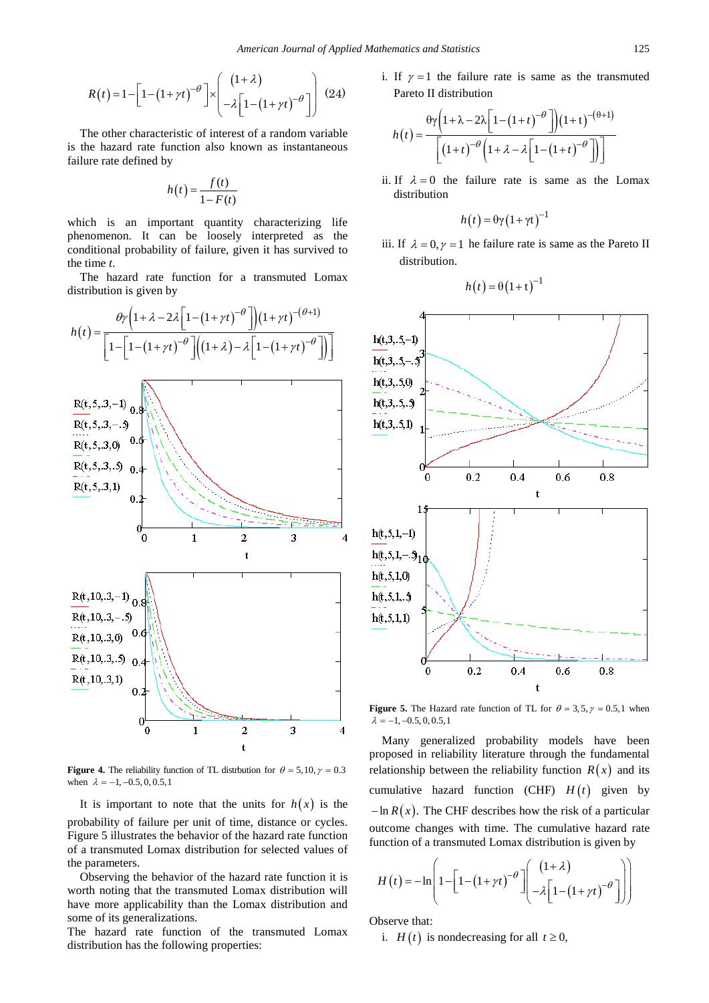$$
R(t) = 1 - \left[1 - \left(1 + \gamma t\right)^{-\theta}\right] \times \left[\begin{array}{c} \left(1 + \lambda\right) \\ -\lambda \left[1 - \left(1 + \gamma t\right)^{-\theta}\right] \end{array}\right] (24)
$$

The other characteristic of interest of a random variable is the hazard rate function also known as instantaneous failure rate defined by

$$
h(t) = \frac{f(t)}{1 - F(t)}
$$

which is an important quantity characterizing life phenomenon. It can be loosely interpreted as the conditional probability of failure, given it has survived to the time *t*.

The hazard rate function for a transmuted Lomax distribution is given by



**Figure 4.** The reliability function of TL distrbution for  $\theta = 5, 10, \gamma = 0.3$ when  $\lambda = -1, -0.5, 0, 0.5, 1$ 

It is important to note that the units for  $h(x)$  is the probability of failure per unit of time, distance or cycles. Figure 5 illustrates the behavior of the hazard rate function of a transmuted Lomax distribution for selected values of the parameters.

Observing the behavior of the hazard rate function it is worth noting that the transmuted Lomax distribution will have more applicability than the Lomax distribution and some of its generalizations.

The hazard rate function of the transmuted Lomax distribution has the following properties:

i. If  $\gamma = 1$  the failure rate is same as the transmuted Pareto II distribution

$$
h(t) = \frac{\theta \gamma \left(1 + \lambda - 2\lambda \left[1 - \left(1 + t\right)^{-\theta}\right]\right) \left(1 + t\right)^{-(\theta + 1)}}{\left[\left(1 + t\right)^{-\theta} \left(1 + \lambda - \lambda \left[1 - \left(1 + t\right)^{-\theta}\right]\right)\right]}
$$

ii. If  $\lambda = 0$  the failure rate is same as the Lomax distribution

$$
h(t) = \theta \gamma (1 + \gamma t)^{-1}
$$

iii. If  $\lambda = 0, \gamma = 1$  he failure rate is same as the Pareto II distribution.

$$
h(t) = \theta(1+t)^{-1}
$$



**Figure 5.** The Hazard rate function of TL for  $\theta = 3, 5, \gamma = 0.5, 1$  when  $\lambda = -1, -0.5, 0, 0.5, 1$ 

Many generalized probability models have been proposed in reliability literature through the fundamental relationship between the reliability function  $R(x)$  and its cumulative hazard function  $(CHF)$  *H(t)* given by  $-\ln R(x)$ . The CHF describes how the risk of a particular outcome changes with time. The cumulative hazard rate function of a transmuted Lomax distribution is given by

$$
H(t) = -\ln\left[1 - \left[1 - \left(1 + \gamma t\right)^{-\theta}\right] \left(\frac{\left(1 + \lambda\right)}{-\lambda\left[1 - \left(1 + \gamma t\right)^{-\theta}\right]}\right)\right]
$$

Observe that:

i. *H(t)* is nondecreasing for all  $t \ge 0$ ,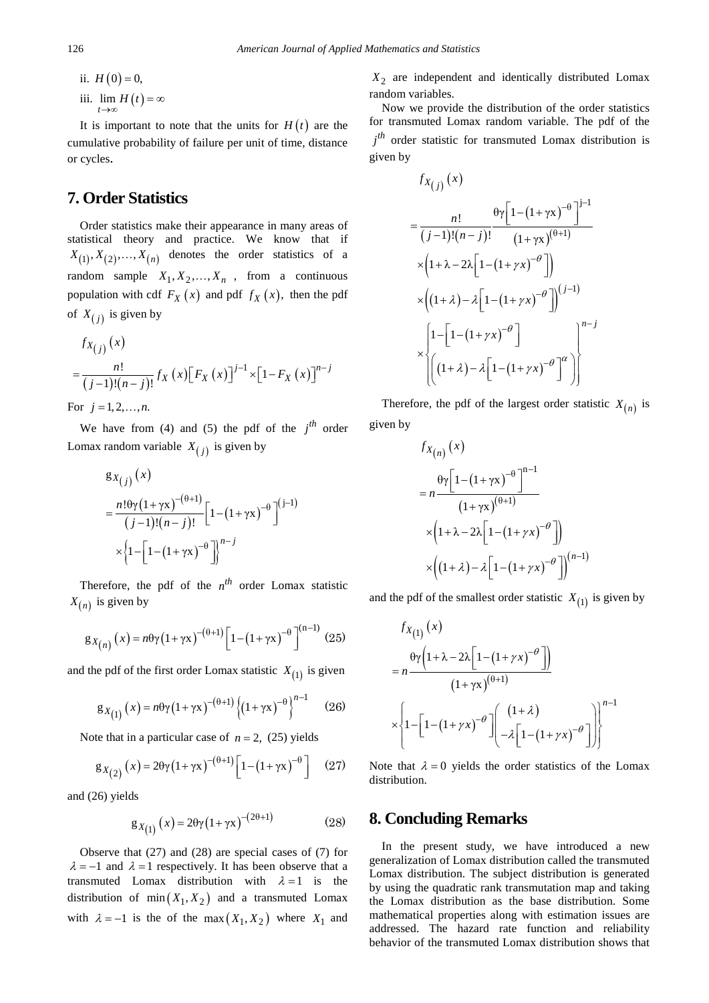ii.  $H(0) = 0$ , iii.  $\lim_{t\to\infty} H(t) = \infty$ 

It is important to note that the units for  $H(t)$  are the cumulative probability of failure per unit of time, distance or cycles.

### **7. Order Statistics**

Order statistics make their appearance in many areas of statistical theory and practice. We know that if  $X_{(1)}$ ,  $X_{(2)}$ , ...,  $X_{(n)}$  denotes the order statistics of a random sample  $X_1, X_2, ..., X_n$ , from a continuous population with cdf  $F_X(x)$  and pdf  $f_X(x)$ , then the pdf of  $X_{(i)}$  is given by

$$
f_{X_{(j)}}(x)
$$
  
=  $\frac{n!}{(j-1)!(n-j)!} f_X(x) [F_X(x)]^{j-1} \times [1 - F_X(x)]^{n-j}$ 

For  $j = 1, 2, ..., n$ .

We have from (4) and (5) the pdf of the  $i^{th}$  order Lomax random variable  $X_{(i)}$  is given by

$$
g_{X(j)}(x)
$$
  
= 
$$
\frac{n! \theta \gamma (1 + \gamma x)^{-(\theta+1)}}{(j-1)!(n-j)!} \Big[1 - (1 + \gamma x)^{-\theta}\Big]^{(j-1)}
$$
  

$$
\times \Big\{1 - \Big[1 - (1 + \gamma x)^{-\theta}\Big]\Big\}^{n-j}
$$

Therefore, the pdf of the  $n^{th}$  order Lomax statistic  $X_{(n)}$  is given by

$$
g_{X(n)}(x) = n\theta\gamma (1 + \gamma x)^{-(\theta+1)} \left[ 1 - (1 + \gamma x)^{-\theta} \right]^{(n-1)} (25)
$$

and the pdf of the first order Lomax statistic  $X_{(1)}$  is given

$$
g_{X_{(1)}}(x) = n\theta\gamma(1+\gamma x)^{-(\theta+1)}\{(1+\gamma x)^{-\theta}\}^{n-1}
$$
 (26)

Note that in a particular case of  $n = 2$ , (25) yields

$$
g_{X_{(2)}}(x) = 2\theta \gamma (1 + \gamma x)^{-(\theta+1)} \left[ 1 - (1 + \gamma x)^{-\theta} \right]
$$
 (27)

and (26) yields

$$
g_{X_{(1)}}(x) = 2\theta \gamma (1 + \gamma x)^{-(2\theta + 1)}
$$
 (28)

Observe that (27) and (28) are special cases of (7) for  $\lambda = -1$  and  $\lambda = 1$  respectively. It has been observe that a transmuted Lomax distribution with  $\lambda = 1$  is the distribution of min $(X_1, X_2)$  and a transmuted Lomax with  $\lambda = -1$  is the of the max  $(X_1, X_2)$  where  $X_1$  and

*X*<sup>2</sup> are independent and identically distributed Lomax random variables.

Now we provide the distribution of the order statistics for transmuted Lomax random variable. The pdf of the  $j<sup>th</sup>$  order statistic for transmuted Lomax distribution is given by

$$
f_{X(j)}(x)
$$
\n
$$
= \frac{n!}{(j-1)!(n-j)!} \frac{\theta \gamma \left[1 - \left(1 + \gamma x\right)^{-\theta}\right]^{j-1}}{\left(1 + \gamma x\right)^{(\theta+1)}} \times \left(1 + \lambda - 2\lambda \left[1 - \left(1 + \gamma x\right)^{-\theta}\right]\right)
$$
\n
$$
\times \left(\left(1 + \lambda\right) - \lambda \left[1 - \left(1 + \gamma x\right)^{-\theta}\right]\right)^{(j-1)} \times \left[1 - \left[1 - \left(1 + \gamma x\right)^{-\theta}\right] \times \left[\left(1 + \lambda\right) - \lambda \left[1 - \left(1 + \gamma x\right)^{-\theta}\right]^{\alpha}\right]\right]^{n-j}
$$

Therefore, the pdf of the largest order statistic  $X_{(n)}$  is given by

$$
f_{X(n)}(x)
$$
  
=  $n \frac{\theta \gamma \left[1 - (1 + \gamma x)^{-\theta}\right]^{n-1}}{(1 + \gamma x)^{(\theta+1)}}$   

$$
\times \left(1 + \lambda - 2\lambda \left[1 - (1 + \gamma x)^{-\theta}\right]\right)
$$
  

$$
\times \left((1 + \lambda) - \lambda \left[1 - (1 + \gamma x)^{-\theta}\right]\right)^{(n-1)}
$$

and the pdf of the smallest order statistic  $X_{(1)}$  is given by

$$
f_{X_{(1)}}(x)
$$
\n
$$
= n \frac{\theta \gamma \left(1 + \lambda - 2\lambda \left[1 - \left(1 + \gamma x\right)^{-\theta}\right]\right)}{\left(1 + \gamma x\right)^{(\theta + 1)}}
$$
\n
$$
\times \left\{1 - \left[1 - \left(1 + \gamma x\right)^{-\theta}\right] \left(\begin{array}{c} \left(1 + \lambda\right) \\ -\lambda \left[1 - \left(1 + \gamma x\right)^{-\theta}\right]\right]\right\}^{n-1}
$$

Note that  $\lambda = 0$  yields the order statistics of the Lomax distribution.

### **8. Concluding Remarks**

In the present study, we have introduced a new generalization of Lomax distribution called the transmuted Lomax distribution. The subject distribution is generated by using the quadratic rank transmutation map and taking the Lomax distribution as the base distribution. Some mathematical properties along with estimation issues are addressed. The hazard rate function and reliability behavior of the transmuted Lomax distribution shows that